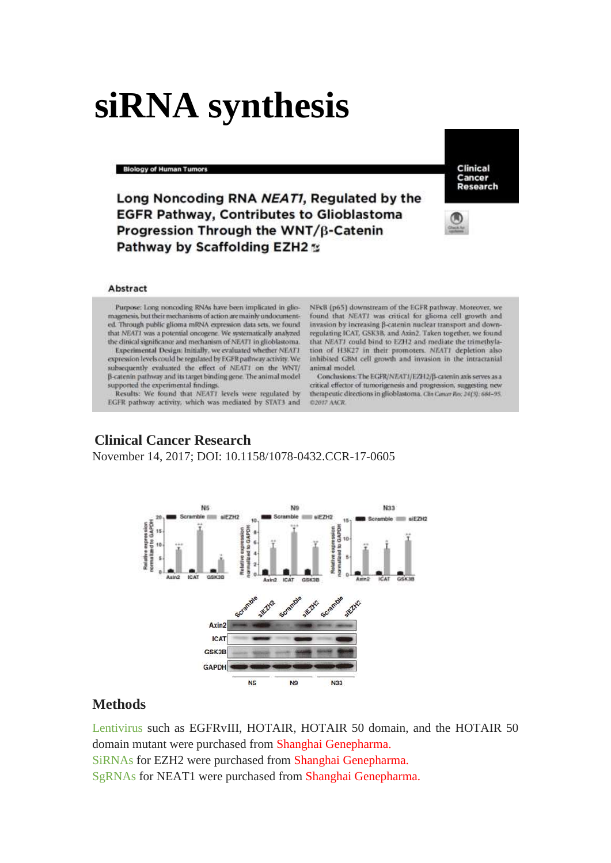# **siRNA synthesis**

#### **Biology of Human Tumors**

Clinical Cancer Research

Long Noncoding RNA NEAT1, Regulated by the **EGFR Pathway, Contributes to Glioblastoma** Progression Through the WNT/B-Catenin **Pathway by Scaffolding EZH2 %** 



### Abstract

Purpose: Long noncoding RNAs have been implicated in gliomagenesis, but their mechanisms of action are mainly undocumented. Through public glioma mRNA expression data sets, we found that NEAT1 was a potential oncogene. We systematically analyzed the dinical significance and mechanism of NEAT1 in glioblastoma.

Experimental Design: Initially, we evaluated whether NEAT1 expression levels could be regulated by EGFR pathway activity. We subsequently evaluated the effect of NEAT1 on the WNT/ B-catenin pathway and its target binding gene. The animal model supported the experimental findings

Results: We found that NEAT1 levels were regulated by EGFR pathway activity, which was mediated by STAT3 and NFKB (p65) downstream of the EGFR pathway. Moreover, we found that NEATI was critical for glioma cell growth and invasion by increasing B-catenin nuclear transport and downregulating ICAT, GSK3B, and Axin2. Taken together, we found that NEAT1 could bind to EZH2 and mediate the trimethylation of H3K27 in their promoters. NEAT1 depletion also inhibited GBM cell growth and invasion in the intracranial animal model.

Conclusions: The EGFR/NEAT1/EZH2/B-caterin axis serves as a critical effector of tumorigenesis and progression, suggesting new therapeutic directions in glioblastoma. Can Canar Rec. 24(3): 684-95. **C2017 AACR** 

## **Clinical Cancer Research**

November 14, 2017; DOI: 10.1158/1078-0432.CCR-17-0605



# **Methods**

Lentivirus such as EGFRvIII, HOTAIR, HOTAIR 50 domain, and the HOTAIR 50 domain mutant were purchased from Shanghai Genepharma. SiRNAs for EZH2 were purchased from Shanghai Genepharma. SgRNAs for NEAT1 were purchased from Shanghai Genepharma.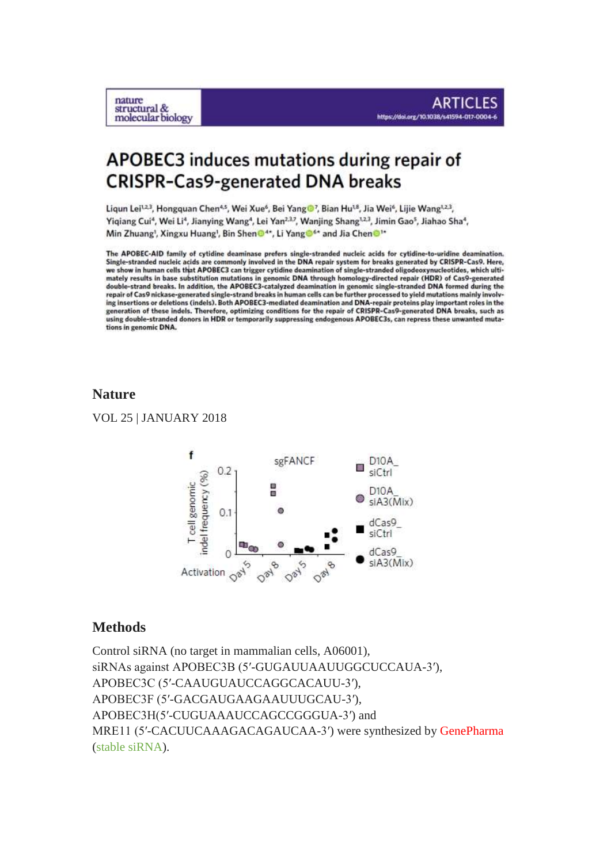

Liqun Lei<sup>12,3</sup>, Hongquan Chen<sup>4,5</sup>, Wei Xue<sup>6</sup>, Bei Yang<sup>1</sup>, Bian Hu<sup>18</sup>, Jia Wei<sup>6</sup>, Lijie Wang<sup>1,2,3</sup>, Yiqiang Cui<sup>4</sup>, Wei Li<sup>4</sup>, Jianying Wang<sup>4</sup>, Lei Yan<sup>2,3,</sup> Wanjing Shang<sup>1,2,3</sup>, Jimin Gao<sup>5</sup>, Jiahao Sha<sup>4</sup>, Min Zhuang<sup>1</sup>, Xingxu Huang<sup>1</sup>, Bin Shen<sup>O4\*</sup>, Li Yang<sup>o4\*</sup> and Jia Chen<sup>O1\*</sup>

The APOBEC-AID family of cytidine deaminase prefers single-stranded nucleic acids for cytidine-to-uridine deamination. Single-stranded nucleic acids are commonly involved in the DNA repair system for breaks generated by CRISPR-Cas9. Here, we show in human cells that APOBEC3 can trigger cytidine deamination of single-stranded oligodeoxynucleotides, which ultimately results in base substitution mutations in genomic DNA through homology-directed repair (HDR) o double-strand breaks. In addition, the APOBEC3-catalyzed deamination in genomic single-stranded DNA formed during the repair of Cas9 nickase-generated single-strand breaks in human cells can be further processed to vield mutations mainly involving insertions or deletions (indels). Both APOBEC3-mediated deamination and DNA-repair proteins play important roles in the generation of these indels. Therefore, optimizing conditions for the repair of CRISPR-Cas9-generated DNA breaks, such as using double-stranded donors in HDR or temporarily suppressing endogenous APOBEC3s, can repress these unwanted mutations in genomic DNA.

# **Nature**

nature structural &

molecular biology

VOL 25 | JANUARY 2018



# **Methods**

Control siRNA (no target in mammalian cells, A06001), siRNAs against APOBEC3B (5′-GUGAUUAAUUGGCUCCAUA-3′), APOBEC3C (5′-CAAUGUAUCCAGGCACAUU-3′), APOBEC3F (5′-GACGAUGAAGAAUUUGCAU-3′), APOBEC3H(5′-CUGUAAAUCCAGCCGGGUA-3′) and MRE11 (5′-CACUUCAAAGACAGAUCAA-3′) were synthesized by GenePharma (stable siRNA).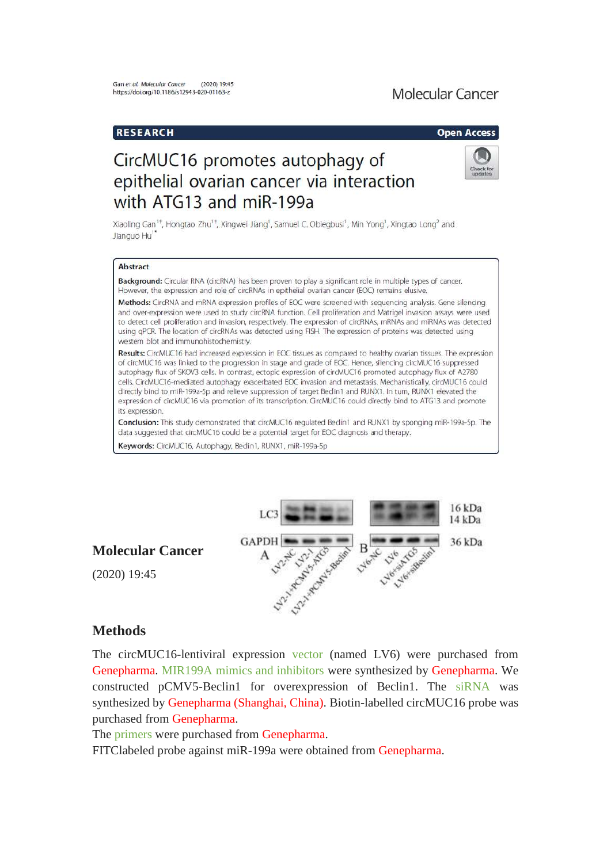# Molecular Cancer

## **RESEARCH**

### **Open Access**

# CircMUC16 promotes autophagy of epithelial ovarian cancer via interaction with ATG13 and miR-199a



Xiaoling Gan<sup>1+</sup>, Hongtao Zhu<sup>1+</sup>, Xingwei Jiang<sup>1</sup>, Samuel C. Obiegbusi<sup>1</sup>, Min Yong<sup>1</sup>, Xingtao Long<sup>2</sup> and Jianguo Hu<sup>1</sup>

### Abstract

Background: Circular RNA (circRNA) has been proven to play a significant role in multiple types of cancer. However, the expression and role of circRNAs in epithelial ovarian cancer (EOC) remains elusive.

Methods: CircRNA and mRNA expression profiles of EOC were screened with sequencing analysis. Gene silencing and over-expression were used to study circRNA function. Cell proliferation and Matrigel invasion assays were used to detect cell proliferation and invasion, respectively. The expression of circRNAs, mRNAs and miRNAs was detected using qPCR. The location of circRNAs was detected using FISH. The expression of proteins was detected using western blot and immunohistochemistry.

Results: CircMUC16 had increased expression in EOC tissues as compared to healthy ovarian tissues. The expression of circMUC16 was linked to the progression in stage and grade of EOC. Hence, silencing circMUC16 suppressed autophagy flux of SKOV3 cells. In contrast, ectopic expression of circMUC16 promoted autophagy flux of A2780 cells. CircMUC16-mediated autophagy exacerbated EOC invasion and metastasis. Mechanistically, circMUC16 could directly bind to miR-199a-5p and relieve suppression of target Bedin1 and RUNX1. In turn, RUNX1 elevated the expression of circMUC16 via promotion of its transcription. CircMUC16 could directly bind to ATG13 and promote its expression.

Conclusion: This study demonstrated that circMUC16 regulated Bedin1 and RUNX1 by sponging miR-199a-5p. The data suggested that circMUC16 could be a potential target for EOC diagnosis and therapy.

Keywords: CircMUC16, Autophagy, Bedin1, RUNX1, miR-199a-5p



# **Molecular Cancer**

(2020) 19:45

# **Methods**

The circMUC16-lentiviral expression vector (named LV6) were purchased from Genepharma. MIR199A mimics and inhibitors were synthesized by Genepharma. We constructed pCMV5-Beclin1 for overexpression of Beclin1. The siRNA was synthesized by Genepharma (Shanghai, China). Biotin-labelled circMUC16 probe was purchased from Genepharma.

The primers were purchased from Genepharma.

FITClabeled probe against miR-199a were obtained from Genepharma.